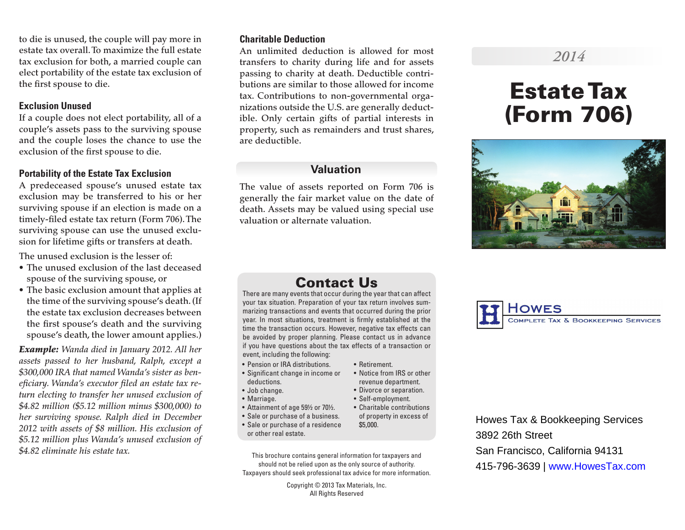to die is unused, the couple will pay more in estate tax overall. To maximize the full estate tax exclusion for both, a married couple can elect portability of the estate tax exclusion of the first spouse to die.

#### **Exclusion Unused**

If a couple does not elect portability, all of a couple's assets pass to the surviving spouse and the couple loses the chance to use the exclusion of the first spouse to die.

### **Portability of the Estate Tax Exclusion**

A predeceased spouse's unused estate tax exclusion may be transferred to his or her surviving spouse if an election is made on a timely-filed estate tax return (Form 706). The surviving spouse can use the unused exclusion for lifetime gifts or transfers at death.

The unused exclusion is the lesser of:

- The unused exclusion of the last deceased spouse of the surviving spouse, or
- The basic exclusion amount that applies at the time of the surviving spouse's death. (If the estate tax exclusion decreases between the first spouse's death and the surviving spouse's death, the lower amount applies.)

*Example: Wanda died in January 2012. All her assets passed to her husband, Ralph, except a \$300,000 IRA that named Wanda's sister as beneficiary. Wanda's executor filed an estate tax return electing to transfer her unused exclusion of \$4.82 million (\$5.12 million minus \$300,000) to her surviving spouse. Ralph died in December 2012 with assets of \$8 million. His exclusion of \$5.12 million plus Wanda's unused exclusion of \$4.82 eliminate his estate tax.*

#### **Charitable Deduction**

An unlimited deduction is allowed for most transfers to charity during life and for assets passing to charity at death. Deductible contributions are similar to those allowed for income tax. Contributions to non-governmental organizations outside the U.S. are generally deductible. Only certain gifts of partial interests in property, such as remainders and trust shares, are deductible.

# **Valuation**

The value of assets reported on Form 706 is generally the fair market value on the date of death. Assets may be valued using special use valuation or alternate valuation.

# *2014*

# Estate Tax (Form 706)



# Contact Us

There are many events that occur during the year that can affect your tax situation. Preparation of your tax return involves summarizing transactions and events that occurred during the prior year. In most situations, treatment is firmly established at the time the transaction occurs. However, negative tax effects can be avoided by proper planning. Please contact us in advance if you have questions about the tax effects of a transaction or event, including the following:

• Retirement.

\$5,000.

• Notice from IRS or other revenue department. • Divorce or separation. • Self-employment.

- Pension or IRA distributions.
- Significant change in income or deductions.
- Job change.
- Marriage.
- Attainment of age 59½ or 70½. • Charitable contributions
- Sale or purchase of a business. of property in excess of
- Sale or purchase of a residence or other real estate.
- This brochure contains general information for taxpayers and should not be relied upon as the only source of authority. Taxpayers should seek professional tax advice for more information.

Copyright © 2013 Tax Materials, Inc. All Rights Reserved



Howes Tax & Bookkeeping Services 3892 26th Street San Francisco, California 94131 415-796-3639 | www.HowesTax.com